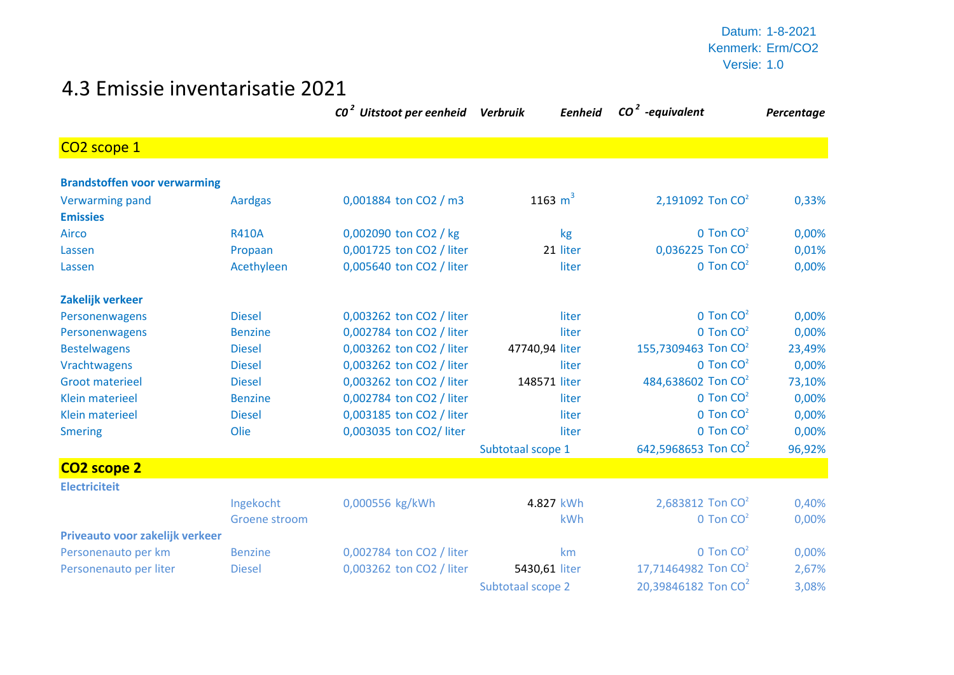Datum: 1-8-2021 Kenmerk: Erm/CO2 Versie: 1.0

## 4.3 Emissie inventarisatie 2021

|                                     |                | CO <sup>2</sup> Uitstoot per eenheid Verbruik | <b>Eenheid</b>    | $CO2$ -equivalent               | Percentage |
|-------------------------------------|----------------|-----------------------------------------------|-------------------|---------------------------------|------------|
| CO <sub>2</sub> scope 1             |                |                                               |                   |                                 |            |
| <b>Brandstoffen voor verwarming</b> |                |                                               |                   |                                 |            |
| <b>Verwarming pand</b>              | <b>Aardgas</b> | 0,001884 ton CO2 / m3                         | 1163 $m^3$        | 2,191092 Ton CO <sup>2</sup>    | 0,33%      |
| <b>Emissies</b>                     |                |                                               |                   |                                 |            |
| Airco                               | <b>R410A</b>   | 0,002090 ton CO2 / kg                         | kg                | $0$ Ton $CO2$                   | 0,00%      |
| Lassen                              | Propaan        | 0,001725 ton CO2 / liter                      | 21 liter          | 0,036225 Ton CO <sup>2</sup>    | 0,01%      |
| Lassen                              | Acethyleen     | 0,005640 ton CO2 / liter                      | liter             | $0$ Ton $CO2$                   | 0,00%      |
| Zakelijk verkeer                    |                |                                               |                   |                                 |            |
| Personenwagens                      | <b>Diesel</b>  | 0,003262 ton CO2 / liter                      | liter             | $0$ Ton $CO2$                   | 0,00%      |
| Personenwagens                      | <b>Benzine</b> | 0,002784 ton CO2 / liter                      | liter             | $0$ Ton $CO2$                   | 0,00%      |
| <b>Bestelwagens</b>                 | <b>Diesel</b>  | 0,003262 ton CO2 / liter                      | 47740,94 liter    | 155,7309463 Ton CO <sup>2</sup> | 23,49%     |
| Vrachtwagens                        | <b>Diesel</b>  | 0,003262 ton CO2 / liter                      | liter             | $0$ Ton $CO2$                   | 0,00%      |
| <b>Groot materieel</b>              | <b>Diesel</b>  | 0,003262 ton CO2 / liter                      | 148571 liter      | 484,638602 Ton CO <sup>2</sup>  | 73,10%     |
| <b>Klein materieel</b>              | <b>Benzine</b> | 0,002784 ton CO2 / liter                      | liter             | $0$ Ton $CO2$                   | 0,00%      |
| <b>Klein materieel</b>              | <b>Diesel</b>  | 0,003185 ton CO2 / liter                      | liter             | $0$ Ton $CO2$                   | 0,00%      |
| <b>Smering</b>                      | Olie           | 0,003035 ton CO2/ liter                       | liter             | $0$ Ton $CO2$                   | 0,00%      |
|                                     |                |                                               | Subtotaal scope 1 | 642,5968653 Ton CO <sup>2</sup> | 96,92%     |
| CO2 scope 2                         |                |                                               |                   |                                 |            |
| <b>Electriciteit</b>                |                |                                               |                   |                                 |            |
|                                     | Ingekocht      | 0,000556 kg/kWh                               | 4.827 kWh         | 2,683812 Ton $CO2$              | 0,40%      |
|                                     | Groene stroom  |                                               | kWh               | $0$ Ton $CO2$                   | 0,00%      |
| Priveauto voor zakelijk verkeer     |                |                                               |                   |                                 |            |
| Personenauto per km                 | <b>Benzine</b> | 0,002784 ton CO2 / liter                      | km                | $0$ Ton $CO2$                   | 0,00%      |
| Personenauto per liter              | <b>Diesel</b>  | 0,003262 ton CO2 / liter                      | 5430,61 liter     | 17,71464982 Ton CO <sup>2</sup> | 2,67%      |
|                                     |                |                                               | Subtotaal scope 2 | 20,39846182 Ton CO <sup>2</sup> | 3,08%      |